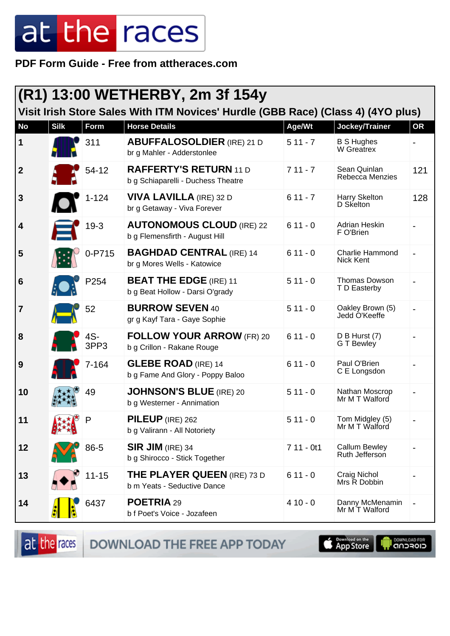**PDF Form Guide - Free from attheraces.com**

|                  | (R1) 13:00 WETHERBY, 2m 3f 154y                                                  |             |                                                                     |             |                                        |           |  |  |  |
|------------------|----------------------------------------------------------------------------------|-------------|---------------------------------------------------------------------|-------------|----------------------------------------|-----------|--|--|--|
|                  | Visit Irish Store Sales With ITM Novices' Hurdle (GBB Race) (Class 4) (4YO plus) |             |                                                                     |             |                                        |           |  |  |  |
| <b>No</b>        | <b>Silk</b>                                                                      | Form        | <b>Horse Details</b>                                                | Age/Wt      | Jockey/Trainer                         | <b>OR</b> |  |  |  |
| $\mathbf 1$      |                                                                                  | 311         | <b>ABUFFALOSOLDIER (IRE) 21 D</b><br>br g Mahler - Adderstonlee     | $511 - 7$   | <b>B S Hughes</b><br>W Greatrex        |           |  |  |  |
| $\boldsymbol{2}$ |                                                                                  | 54-12       | <b>RAFFERTY'S RETURN 11 D</b><br>b g Schiaparelli - Duchess Theatre | $711 - 7$   | Sean Quinlan<br>Rebecca Menzies        | 121       |  |  |  |
| $\mathbf{3}$     |                                                                                  | $1 - 124$   | <b>VIVA LAVILLA</b> (IRE) 32 D<br>br g Getaway - Viva Forever       | $611 - 7$   | Harry Skelton<br>D Skelton             | 128       |  |  |  |
| 4                |                                                                                  | $19-3$      | <b>AUTONOMOUS CLOUD (IRE) 22</b><br>b g Flemensfirth - August Hill  | $611 - 0$   | <b>Adrian Heskin</b><br>F O'Brien      |           |  |  |  |
| 5                |                                                                                  | 0-P715      | <b>BAGHDAD CENTRAL (IRE) 14</b><br>br g Mores Wells - Katowice      | $611 - 0$   | <b>Charlie Hammond</b><br>Nick Kent    |           |  |  |  |
| $6\phantom{1}6$  |                                                                                  | P254        | <b>BEAT THE EDGE (IRE) 11</b><br>b g Beat Hollow - Darsi O'grady    | $511 - 0$   | Thomas Dowson<br>T D Easterby          |           |  |  |  |
| $\overline{7}$   |                                                                                  | 52          | <b>BURROW SEVEN 40</b><br>gr g Kayf Tara - Gaye Sophie              | $511 - 0$   | Oakley Brown (5)<br>Jedd O'Keeffe      |           |  |  |  |
| 8                |                                                                                  | 4S-<br>3PP3 | <b>FOLLOW YOUR ARROW (FR) 20</b><br>b g Crillon - Rakane Rouge      | $611 - 0$   | D B Hurst (7)<br>G T Bewley            |           |  |  |  |
| 9                |                                                                                  | 7-164       | <b>GLEBE ROAD (IRE) 14</b><br>b g Fame And Glory - Poppy Baloo      | $611 - 0$   | Paul O'Brien<br>C E Longsdon           |           |  |  |  |
| 10               |                                                                                  | 49          | <b>JOHNSON'S BLUE (IRE) 20</b><br>b g Westerner - Annimation        | $511 - 0$   | Nathan Moscrop<br>Mr M T Walford       |           |  |  |  |
| 11               | $+ +1$                                                                           |             | PILEUP (IRE) 262<br>b g Valirann - All Notoriety                    | $511 - 0$   | Tom Midgley (5)<br>Mr M T Walford      |           |  |  |  |
| 12               |                                                                                  | 86-5        | $SIR$ JIM (IRE) 34<br>b g Shirocco - Stick Together                 | $711 - 0t1$ | <b>Callum Bewley</b><br>Ruth Jefferson |           |  |  |  |
| 13               |                                                                                  | $11 - 15$   | <b>THE PLAYER QUEEN (IRE) 73 D</b><br>b m Yeats - Seductive Dance   | $611 - 0$   | Craig Nichol<br>Mrs R Dobbin           |           |  |  |  |
| 14               |                                                                                  | 6437        | POETRIA 29<br>b f Poet's Voice - Jozafeen                           | $410 - 0$   | Danny McMenamin<br>Mr M T Walford      |           |  |  |  |

at the races DOWNLOAD THE FREE APP TODAY App Store **I DOWNLOAD FOR**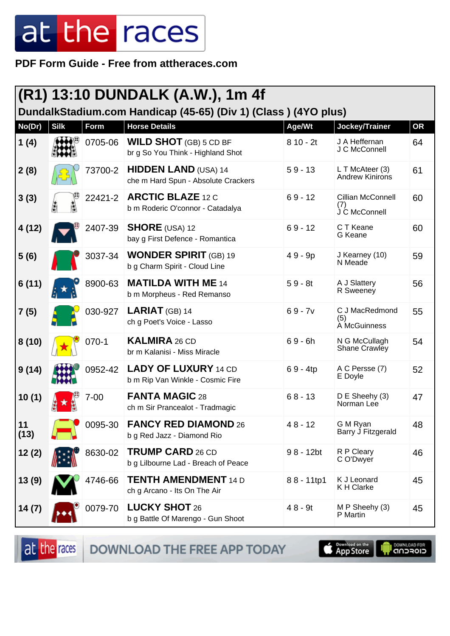PDF Form Guide - Free from attheraces.com

|            | (R1) 13:10 DUNDALK (A.W.), 1m 4f |             |                                                                    |             |                                           |           |  |
|------------|----------------------------------|-------------|--------------------------------------------------------------------|-------------|-------------------------------------------|-----------|--|
|            |                                  |             | DundalkStadium.com Handicap (45-65) (Div 1) (Class) (4YO plus)     |             |                                           |           |  |
| No(Dr)     | <b>Silk</b>                      | <b>Form</b> | <b>Horse Details</b>                                               | Age/Wt      | Jockey/Trainer                            | <b>OR</b> |  |
| 1(4)       |                                  | 0705-06     | <b>WILD SHOT</b> (GB) 5 CD BF<br>br g So You Think - Highland Shot | $810 - 2t$  | J A Heffernan<br>J C McConnell            | 64        |  |
| 2(8)       |                                  | 73700-2     | <b>HIDDEN LAND (USA) 14</b><br>che m Hard Spun - Absolute Crackers | $59 - 13$   | L T McAteer (3)<br>Andrew Kinirons        | 61        |  |
| 3(3)       |                                  | 22421-2     | <b>ARCTIC BLAZE 12 C</b><br>b m Roderic O'connor - Catadalya       | $69 - 12$   | Cillian McConnell<br>(1)<br>J C McConnell | 60        |  |
| 4(12)      |                                  | 2407-39     | <b>SHORE</b> (USA) 12<br>bay g First Defence - Romantica           | $69 - 12$   | C T Keane<br>G Keane                      | 60        |  |
| 5(6)       |                                  | 3037-34     | <b>WONDER SPIRIT (GB) 19</b><br>b g Charm Spirit - Cloud Line      | $49 - 9p$   | J Kearney (10)<br>N Meade                 | 59        |  |
| 6(11)      |                                  | 8900-63     | <b>MATILDA WITH ME 14</b><br>b m Morpheus - Red Remanso            | $59 - 8t$   | A J Slattery<br>R Sweeney                 | 56        |  |
| 7(5)       |                                  | 030-927     | <b>LARIAT</b> (GB) 14<br>ch g Poet's Voice - Lasso                 | $69 - 7v$   | C J MacRedmond<br>(5)<br>A McGuinness     | 55        |  |
| 8(10)      |                                  | $070-1$     | <b>KALMIRA 26 CD</b><br>br m Kalanisi - Miss Miracle               | $69 - 6h$   | N G McCullagh<br>Shane Crawley            | 54        |  |
| 9(14)      |                                  | 0952-42     | <b>LADY OF LUXURY 14 CD</b><br>b m Rip Van Winkle - Cosmic Fire    | $69 - 4tp$  | A C Persse (7)<br>E Doyle                 | 52        |  |
| 10(1)      |                                  | $7 - 00$    | <b>FANTA MAGIC 28</b><br>ch m Sir Prancealot - Tradmagic           | $68 - 13$   | D E Sheehy (3)<br>Norman Lee              | 47        |  |
| 11<br>(13) |                                  | 0095-30     | <b>FANCY RED DIAMOND 26</b><br>b g Red Jazz - Diamond Rio          | $48 - 12$   | G M Ryan<br>Barry J Fitzgerald            | 48        |  |
| 12(2)      |                                  | 8630-02     | <b>TRUMP CARD 26 CD</b><br>b g Lilbourne Lad - Breach of Peace     | $98 - 12bt$ | R P Cleary<br>C O'Dwyer                   | 46        |  |
| 13(9)      |                                  | 4746-66     | <b>TENTH AMENDMENT 14 D</b><br>ch g Arcano - Its On The Air        | 88 - 11tp1  | K J Leonard<br><b>KH Clarke</b>           | 45        |  |
| 14 (7)     |                                  | 0079-70     | <b>LUCKY SHOT 26</b><br>b g Battle Of Marengo - Gun Shoot          | $48 - 9t$   | M P Sheehy (3)<br>P Martin                | 45        |  |

at the races

DOWNLOAD THE FREE APP TODAY

App Store Г

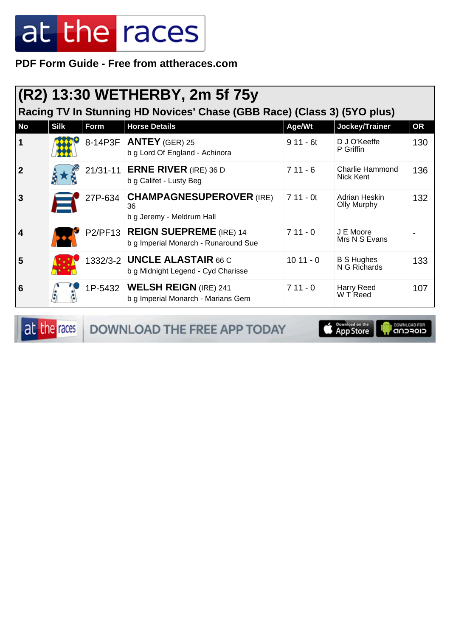**PDF Form Guide - Free from attheraces.com**

|              | (R2) 13:30 WETHERBY, 2m 5f 75y                                          |      |                                                                           |            |                                     |           |  |  |  |
|--------------|-------------------------------------------------------------------------|------|---------------------------------------------------------------------------|------------|-------------------------------------|-----------|--|--|--|
|              | Racing TV In Stunning HD Novices' Chase (GBB Race) (Class 3) (5YO plus) |      |                                                                           |            |                                     |           |  |  |  |
| <b>No</b>    | <b>Silk</b>                                                             | Form | <b>Horse Details</b>                                                      | Age/Wt     | Jockey/Trainer                      | <b>OR</b> |  |  |  |
| 1            |                                                                         |      | 8-14P3F <b>ANTEY</b> (GER) 25<br>b g Lord Of England - Achinora           | $911 - 6t$ | D J O'Keeffe<br>P Griffin           | 130       |  |  |  |
| $\mathbf{2}$ |                                                                         |      | 21/31-11 ERNE RIVER (IRE) 36 D<br>b g Califet - Lusty Beg                 | $711 - 6$  | Charlie Hammond<br>Nick Kent        | 136       |  |  |  |
| 3            |                                                                         |      | 27P-634 CHAMPAGNESUPEROVER (IRE)<br>36<br>b g Jeremy - Meldrum Hall       | $711 - 0t$ | Adrian Heskin<br><b>Olly Murphy</b> | 132       |  |  |  |
| 4            |                                                                         |      | P2/PF13 REIGN SUEPREME (IRE) 14<br>b g Imperial Monarch - Runaround Sue   | $711 - 0$  | J E Moore<br>Mrs N S Evans          |           |  |  |  |
| 5            |                                                                         |      | 1332/3-2 <b>UNCLE ALASTAIR</b> 66 C<br>b g Midnight Legend - Cyd Charisse | $1011 - 0$ | <b>B S Hughes</b><br>N G Richards   | 133       |  |  |  |
| 6            |                                                                         |      | 1P-5432 WELSH REIGN (IRE) 241<br>b g Imperial Monarch - Marians Gem       | $711 - 0$  | Harry Reed<br>W T Reed              | 107       |  |  |  |

at the races DOWNLOAD THE FREE APP TODAY

Download on the **I DOWNLOAD FOR**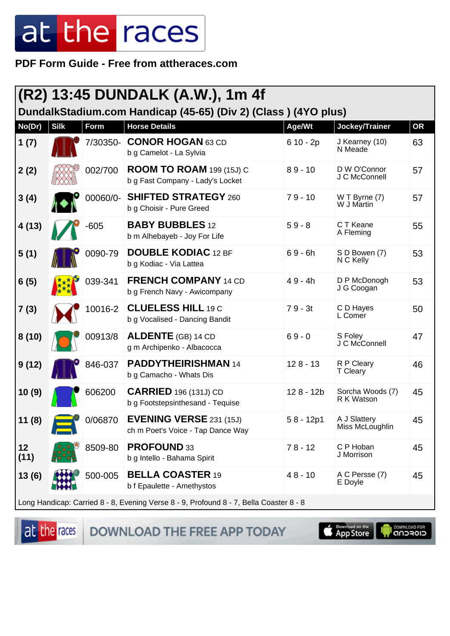PDF Form Guide - Free from attheraces.com

|            |                                                                                        |             | (R2) 13:45 DUNDALK (A.W.), 1m 4f                                    |             |                                 |           |  |
|------------|----------------------------------------------------------------------------------------|-------------|---------------------------------------------------------------------|-------------|---------------------------------|-----------|--|
|            |                                                                                        |             | DundalkStadium.com Handicap (45-65) (Div 2) (Class) (4YO plus)      |             |                                 |           |  |
| No(Dr)     | <b>Silk</b>                                                                            | <b>Form</b> | <b>Horse Details</b>                                                | Age/Wt      | Jockey/Trainer                  | <b>OR</b> |  |
| 1(7)       |                                                                                        | 7/30350-    | <b>CONOR HOGAN 63 CD</b><br>b g Camelot - La Sylvia                 | $610 - 2p$  | J Kearney (10)<br>N Meade       | 63        |  |
| 2(2)       |                                                                                        | 002/700     | <b>ROOM TO ROAM 199 (15J) C</b><br>b g Fast Company - Lady's Locket | $89 - 10$   | D W O'Connor<br>J C McConnell   | 57        |  |
| 3(4)       |                                                                                        | 00060/0-    | <b>SHIFTED STRATEGY 260</b><br>b g Choisir - Pure Greed             | $79 - 10$   | W T Byrne (7)<br>W J Martin     | 57        |  |
| 4(13)      |                                                                                        | $-605$      | <b>BABY BUBBLES 12</b><br>b m Alhebayeb - Joy For Life              | $59 - 8$    | C T Keane<br>A Fleming          | 55        |  |
| 5(1)       |                                                                                        | 0090-79     | <b>DOUBLE KODIAC 12 BF</b><br>b g Kodiac - Via Lattea               | $69 - 6h$   | S D Bowen (7)<br>N C Kelly      | 53        |  |
| 6(5)       |                                                                                        | 039-341     | <b>FRENCH COMPANY 14 CD</b><br>b g French Navy - Awicompany         | $49 - 4h$   | D P McDonogh<br>J G Coogan      | 53        |  |
| 7(3)       |                                                                                        | 10016-2     | <b>CLUELESS HILL 19 C</b><br>b g Vocalised - Dancing Bandit         | $79 - 3t$   | C D Hayes<br>L Comer            | 50        |  |
| 8(10)      |                                                                                        | 00913/8     | <b>ALDENTE</b> (GB) 14 CD<br>g m Archipenko - Albacocca             | $69 - 0$    | S Foley<br>J C McConnell        | 47        |  |
| 9(12)      |                                                                                        | 846-037     | <b>PADDYTHEIRISHMAN 14</b><br>b g Camacho - Whats Dis               | $128 - 13$  | R P Cleary<br>T Cleary          | 46        |  |
| 10(9)      |                                                                                        | 606200      | <b>CARRIED</b> 196 (131J) CD<br>b g Footstepsinthesand - Tequise    | 128 - 12b   | Sorcha Woods (7)<br>R K Watson  | 45        |  |
| 11(8)      |                                                                                        | 0/06870     | <b>EVENING VERSE 231 (15J)</b><br>ch m Poet's Voice - Tap Dance Way | $58 - 12p1$ | A J Slattery<br>Miss McLoughlin | 45        |  |
| 12<br>(11) |                                                                                        | 8509-80     | PROFOUND 33<br>b g Intello - Bahama Spirit                          | $78 - 12$   | C P Hoban<br>J Morrison         | 45        |  |
| 13(6)      |                                                                                        | 500-005     | <b>BELLA COASTER 19</b><br>b f Epaulette - Amethystos               | $48 - 10$   | A C Persse (7)<br>E Doyle       | 45        |  |
|            | Long Handicap: Carried 8 - 8, Evening Verse 8 - 9, Profound 8 - 7, Bella Coaster 8 - 8 |             |                                                                     |             |                                 |           |  |

at the races DOWNLOAD THE FREE APP TODAY

**Completed on the**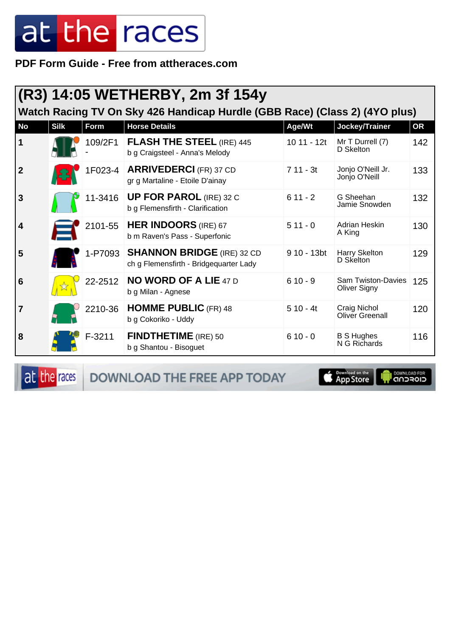PDF Form Guide - Free from attheraces.com

|                                                                            |             |          | (R3) 14:05 WETHERBY, 2m 3f 154y                                              |              |                                                  |           |  |  |
|----------------------------------------------------------------------------|-------------|----------|------------------------------------------------------------------------------|--------------|--------------------------------------------------|-----------|--|--|
| Watch Racing TV On Sky 426 Handicap Hurdle (GBB Race) (Class 2) (4YO plus) |             |          |                                                                              |              |                                                  |           |  |  |
| <b>No</b>                                                                  | <b>Silk</b> | Form     | <b>Horse Details</b>                                                         | Age/Wt       | Jockey/Trainer                                   | <b>OR</b> |  |  |
| $\vert$ 1                                                                  |             | 109/2F1  | <b>FLASH THE STEEL (IRE) 445</b><br>b g Craigsteel - Anna's Melody           | $1011 - 12t$ | Mr T Durrell (7)<br>D Skelton                    | 142       |  |  |
| $\vert$ 2                                                                  |             |          | 1F023-4   ARRIVEDERCI (FR) 37 CD<br>gr g Martaline - Etoile D'ainay          | $711 - 3t$   | Jonjo O'Neill Jr.<br>Jonjo O'Neill               | 133       |  |  |
| 3                                                                          |             | 11-3416  | <b>UP FOR PAROL (IRE) 32 C</b><br>b g Flemensfirth - Clarification           | $611 - 2$    | G Sheehan<br>Jamie Snowden                       | 132       |  |  |
| $\vert$ 4                                                                  |             | 2101-55  | <b>HER INDOORS</b> (IRE) 67<br>b m Raven's Pass - Superfonic                 | $511 - 0$    | Adrian Heskin<br>A King                          | 130       |  |  |
| 5                                                                          |             |          | 1-P7093 SHANNON BRIDGE (IRE) 32 CD<br>ch g Flemensfirth - Bridgequarter Lady | 9 10 - 13bt  | Harry Skelton<br>D Skelton                       | 129       |  |  |
| 6                                                                          |             | 22-2512  | <b>NO WORD OF A LIE 47 D</b><br>b g Milan - Agnese                           | $610 - 9$    | <b>Sam Twiston-Davies</b><br><b>Oliver Signy</b> | 125       |  |  |
| $\overline{7}$                                                             |             | 2210-36  | <b>HOMME PUBLIC (FR) 48</b><br>b g Cokoriko - Uddy                           | $510 - 4t$   | Craig Nichol<br><b>Oliver Greenall</b>           | 120       |  |  |
| 8                                                                          |             | $F-3211$ | <b>FINDTHETIME</b> (IRE) 50<br>b g Shantou - Bisoguet                        | $610 - 0$    | <b>B S Hughes</b><br>N G Richards                | 116       |  |  |

at the races

DOWNLOAD THE FREE APP TODAY

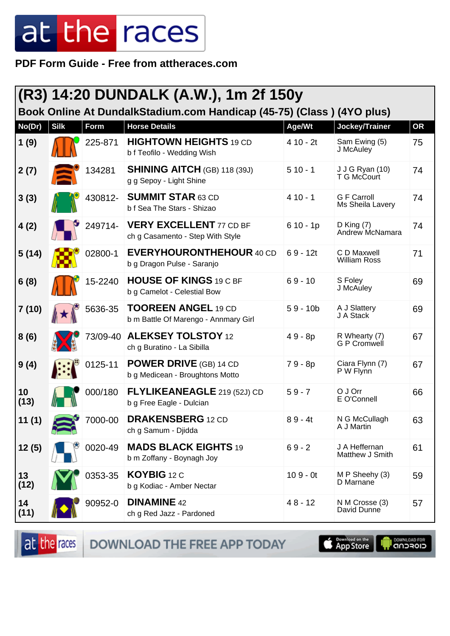**PDF Form Guide - Free from attheraces.com**

| (R3) 14:20 DUNDALK (A.W.), 1m 2f 150y<br>Book Online At DundalkStadium.com Handicap (45-75) (Class) (4YO plus) |             |          |                                                                    |            |                                        |           |  |
|----------------------------------------------------------------------------------------------------------------|-------------|----------|--------------------------------------------------------------------|------------|----------------------------------------|-----------|--|
| No(Dr)                                                                                                         | <b>Silk</b> | Form     | <b>Horse Details</b>                                               | Age/Wt     | Jockey/Trainer                         | <b>OR</b> |  |
| 1(9)                                                                                                           |             | 225-871  | <b>HIGHTOWN HEIGHTS 19 CD</b><br>b f Teofilo - Wedding Wish        | $410 - 2t$ | Sam Ewing (5)<br>J McAuley             | 75        |  |
| 2(7)                                                                                                           |             | 134281   | <b>SHINING AITCH (GB) 118 (39J)</b><br>g g Sepoy - Light Shine     | $510 - 1$  | J J G Ryan (10)<br>T G McCourt         | 74        |  |
| 3(3)                                                                                                           |             | 430812-  | <b>SUMMIT STAR 63 CD</b><br>b f Sea The Stars - Shizao             | $410 - 1$  | <b>G F Carroll</b><br>Ms Sheila Lavery | 74        |  |
| 4(2)                                                                                                           |             | 249714-  | <b>VERY EXCELLENT 77 CD BF</b><br>ch g Casamento - Step With Style | $610 - 1p$ | D King $(7)$<br>Andrew McNamara        | 74        |  |
| 5(14)                                                                                                          |             | 02800-1  | <b>EVERYHOURONTHEHOUR 40 CD</b><br>b g Dragon Pulse - Saranjo      | $69 - 12t$ | C D Maxwell<br><b>William Ross</b>     | 71        |  |
| 6(8)                                                                                                           |             | 15-2240  | <b>HOUSE OF KINGS 19 C BF</b><br>b g Camelot - Celestial Bow       | $69 - 10$  | S Foley<br>J McAuley                   | 69        |  |
| 7(10)                                                                                                          |             | 5636-35  | <b>TOOREEN ANGEL 19 CD</b><br>b m Battle Of Marengo - Annmary Girl | $59 - 10b$ | A J Slattery<br>J A Stack              | 69        |  |
| 8(6)                                                                                                           |             | 73/09-40 | <b>ALEKSEY TOLSTOY 12</b><br>ch g Buratino - La Sibilla            | 49 - 8p    | R Whearty (7)<br>G P Cromwell          | 67        |  |
| 9(4)                                                                                                           |             | 0125-11  | <b>POWER DRIVE (GB) 14 CD</b><br>b g Medicean - Broughtons Motto   | 79 - 8p    | Ciara Flynn (7)<br>P W Flynn           | 67        |  |
| 10<br>(13)                                                                                                     |             | 000/180  | <b>FLYLIKEANEAGLE</b> 219 (52J) CD<br>b g Free Eagle - Dulcian     | $59 - 7$   | O J Orr<br>E O'Connell                 | 66        |  |
| 11(1)                                                                                                          |             | 7000-00  | <b>DRAKENSBERG</b> 12 CD<br>ch g Samum - Djidda                    | $89 - 4t$  | N G McCullagh<br>A J Martin            | 63        |  |
| 12(5)                                                                                                          |             | 0020-49  | <b>MADS BLACK EIGHTS 19</b><br>b m Zoffany - Boynagh Joy           | $69 - 2$   | J A Heffernan<br>Matthew J Smith       | 61        |  |
| 13<br>(12)                                                                                                     |             | 0353-35  | KOYBIG 12 C<br>b g Kodiac - Amber Nectar                           | $109 - 0t$ | M P Sheehy (3)<br>D Marnane            | 59        |  |
| 14<br>(11)                                                                                                     |             | 90952-0  | <b>DINAMINE 42</b><br>ch g Red Jazz - Pardoned                     | $48 - 12$  | N M Crosse (3)<br>David Dunne          | 57        |  |

at the races DOWNLOAD THE FREE APP TODAY **Completed on the OOWNLOAD FOR**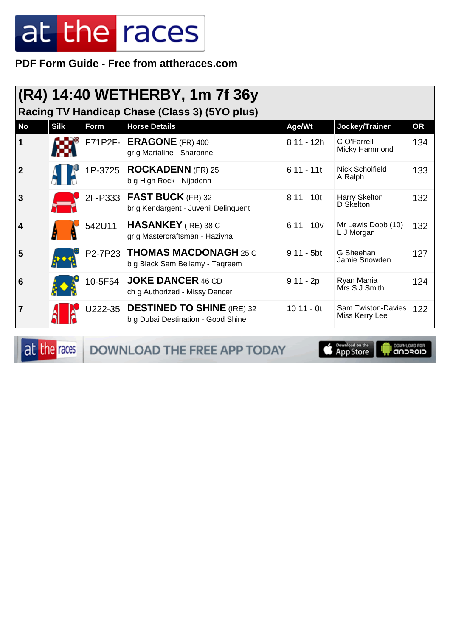PDF Form Guide - Free from attheraces.com

| (R4) 14:40 WETHERBY, 1m 7f 36y<br>Racing TV Handicap Chase (Class 3) (5YO plus)                   |  |         |                                                                          |             |                                      |     |  |  |
|---------------------------------------------------------------------------------------------------|--|---------|--------------------------------------------------------------------------|-------------|--------------------------------------|-----|--|--|
| <b>No</b><br><b>Horse Details</b><br><b>Silk</b><br>Form<br>Jockey/Trainer<br><b>OR</b><br>Age/Wt |  |         |                                                                          |             |                                      |     |  |  |
| $\vert$ 1                                                                                         |  |         | F71P2F- ERAGONE (FR) 400<br>gr g Martaline - Sharonne                    | 8 11 - 12h  | C O'Farrell<br>Micky Hammond         | 134 |  |  |
| $\vert$ 2                                                                                         |  |         | 1P-3725   ROCKADENN (FR) 25<br>b g High Rock - Nijadenn                  | $611 - 11t$ | Nick Scholfield<br>A Ralph           | 133 |  |  |
| 3                                                                                                 |  |         | 2F-P333   FAST BUCK (FR) 32<br>br g Kendargent - Juvenil Delinquent      | $811 - 10t$ | Harry Skelton<br>D Skelton           | 132 |  |  |
| $\vert$ 4                                                                                         |  | 542U11  | <b>HASANKEY</b> (IRE) 38 C<br>gr g Mastercraftsman - Haziyna             | $611 - 10v$ | Mr Lewis Dobb (10)<br>L J Morgan     | 132 |  |  |
| 5                                                                                                 |  |         | P2-7P23 THOMAS MACDONAGH 25 C<br>b g Black Sam Bellamy - Taqreem         | $911 - 5bt$ | G Sheehan<br>Jamie Snowden           | 127 |  |  |
| 6                                                                                                 |  | 10-5F54 | <b>JOKE DANCER 46 CD</b><br>ch g Authorized - Missy Dancer               | $911 - 2p$  | Ryan Mania<br>Mrs S J Smith          | 124 |  |  |
| $\overline{7}$                                                                                    |  |         | U222-35 DESTINED TO SHINE (IRE) 32<br>b g Dubai Destination - Good Shine | $1011 - 0t$ | Sam Twiston-Davies<br>Miss Kerry Lee | 122 |  |  |

at the races

DOWNLOAD THE FREE APP TODAY

**App Store**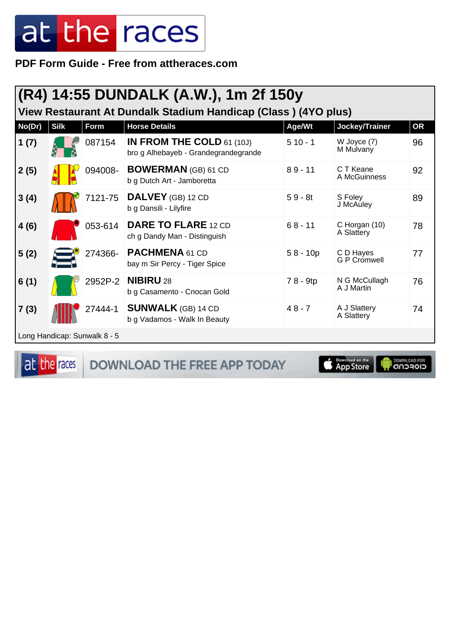PDF Form Guide - Free from attheraces.com

| (R4) 14:55 DUNDALK (A.W.), 1m 2f 150y |             |                              |                                                                                        |                     |                                            |           |  |
|---------------------------------------|-------------|------------------------------|----------------------------------------------------------------------------------------|---------------------|--------------------------------------------|-----------|--|
|                                       | <b>Silk</b> |                              | View Restaurant At Dundalk Stadium Handicap (Class) (4YO plus)<br><b>Horse Details</b> |                     |                                            | <b>OR</b> |  |
| No(Dr)<br>1(7)                        |             | <b>Form</b><br>087154        | IN FROM THE COLD $61(10J)$<br>bro g Alhebayeb - Grandegrandegrande                     | Age/Wt<br>$510 - 1$ | Jockey/Trainer<br>W Joyce (7)<br>M Mulvany | 96        |  |
| 2(5)                                  |             | 094008-                      | <b>BOWERMAN</b> (GB) 61 CD<br>b g Dutch Art - Jamboretta                               | $89 - 11$           | C T Keane<br>A McGuinness                  | 92        |  |
| 3(4)                                  |             | 7121-75                      | DALVEY (GB) 12 CD<br>b g Dansili - Lilyfire                                            | $59 - 8t$           | S Foley<br>J McAuley                       | 89        |  |
| 4(6)                                  |             | 053-614                      | <b>DARE TO FLARE 12 CD</b><br>ch g Dandy Man - Distinguish                             | $68 - 11$           | C Horgan (10)<br>A Slattery                | 78        |  |
| 5(2)                                  |             | 274366-                      | PACHMENA 61 CD<br>bay m Sir Percy - Tiger Spice                                        | $58 - 10p$          | C D Hayes<br><b>G P Cromwell</b>           | 77        |  |
| 6(1)                                  |             | 2952P-2                      | <b>NIBIRU 28</b><br>b g Casamento - Cnocan Gold                                        | 78 - 9tp            | N G McCullagh<br>A J Martin                | 76        |  |
| 7(3)                                  |             | 27444-1                      | <b>SUNWALK</b> (GB) 14 CD<br>b g Vadamos - Walk In Beauty                              | $48 - 7$            | A J Slattery<br>A Slattery                 | 74        |  |
|                                       |             | Long Handicap: Sunwalk 8 - 5 |                                                                                        |                     |                                            |           |  |

at the races DOWNLOAD THE FREE APP TODAY



**OWNLOAD FOR**